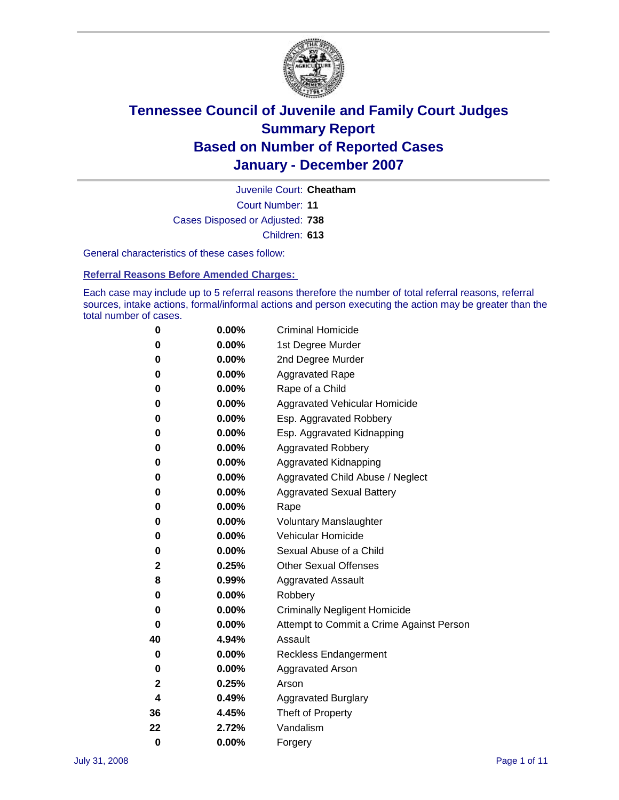

Court Number: **11** Juvenile Court: **Cheatham** Cases Disposed or Adjusted: **738** Children: **613**

General characteristics of these cases follow:

**Referral Reasons Before Amended Charges:** 

Each case may include up to 5 referral reasons therefore the number of total referral reasons, referral sources, intake actions, formal/informal actions and person executing the action may be greater than the total number of cases.

| 0  | 0.00%    | <b>Criminal Homicide</b>                 |  |  |  |
|----|----------|------------------------------------------|--|--|--|
| 0  | 0.00%    | 1st Degree Murder                        |  |  |  |
| 0  | $0.00\%$ | 2nd Degree Murder                        |  |  |  |
| 0  | 0.00%    | <b>Aggravated Rape</b>                   |  |  |  |
| 0  | 0.00%    | Rape of a Child                          |  |  |  |
| 0  | 0.00%    | Aggravated Vehicular Homicide            |  |  |  |
| 0  | 0.00%    | Esp. Aggravated Robbery                  |  |  |  |
| 0  | 0.00%    | Esp. Aggravated Kidnapping               |  |  |  |
| 0  | 0.00%    | <b>Aggravated Robbery</b>                |  |  |  |
| 0  | 0.00%    | Aggravated Kidnapping                    |  |  |  |
| 0  | 0.00%    | Aggravated Child Abuse / Neglect         |  |  |  |
| 0  | $0.00\%$ | <b>Aggravated Sexual Battery</b>         |  |  |  |
| 0  | 0.00%    | Rape                                     |  |  |  |
| 0  | 0.00%    | <b>Voluntary Manslaughter</b>            |  |  |  |
| 0  | 0.00%    | Vehicular Homicide                       |  |  |  |
| 0  | 0.00%    | Sexual Abuse of a Child                  |  |  |  |
| 2  | 0.25%    | <b>Other Sexual Offenses</b>             |  |  |  |
| 8  | 0.99%    | <b>Aggravated Assault</b>                |  |  |  |
| 0  | $0.00\%$ | Robbery                                  |  |  |  |
| 0  | 0.00%    | <b>Criminally Negligent Homicide</b>     |  |  |  |
| 0  | 0.00%    | Attempt to Commit a Crime Against Person |  |  |  |
| 40 | 4.94%    | Assault                                  |  |  |  |
| 0  | 0.00%    | Reckless Endangerment                    |  |  |  |
| 0  | 0.00%    | <b>Aggravated Arson</b>                  |  |  |  |
| 2  | 0.25%    | Arson                                    |  |  |  |
| 4  | 0.49%    | <b>Aggravated Burglary</b>               |  |  |  |
| 36 | 4.45%    | Theft of Property                        |  |  |  |
| 22 | 2.72%    | Vandalism                                |  |  |  |
| 0  | 0.00%    | Forgery                                  |  |  |  |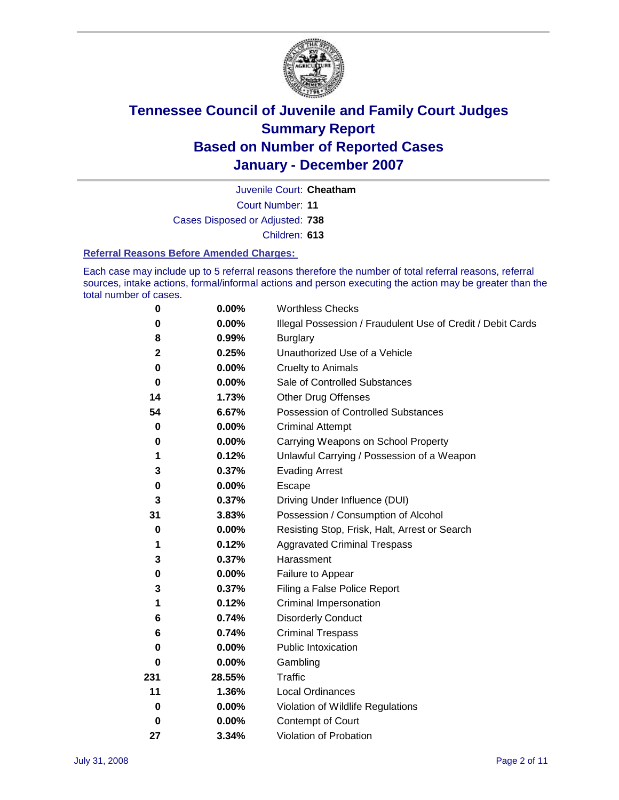

Court Number: **11** Juvenile Court: **Cheatham** Cases Disposed or Adjusted: **738** Children: **613**

### **Referral Reasons Before Amended Charges:**

Each case may include up to 5 referral reasons therefore the number of total referral reasons, referral sources, intake actions, formal/informal actions and person executing the action may be greater than the total number of cases.

| 0           | 0.00%    | <b>Worthless Checks</b>                                     |  |  |
|-------------|----------|-------------------------------------------------------------|--|--|
| 0           | 0.00%    | Illegal Possession / Fraudulent Use of Credit / Debit Cards |  |  |
| 8           | 0.99%    | <b>Burglary</b>                                             |  |  |
| $\mathbf 2$ | 0.25%    | Unauthorized Use of a Vehicle                               |  |  |
| $\bf{0}$    | 0.00%    | <b>Cruelty to Animals</b>                                   |  |  |
| 0           | $0.00\%$ | Sale of Controlled Substances                               |  |  |
| 14          | 1.73%    | <b>Other Drug Offenses</b>                                  |  |  |
| 54          | 6.67%    | Possession of Controlled Substances                         |  |  |
| $\mathbf 0$ | 0.00%    | <b>Criminal Attempt</b>                                     |  |  |
| 0           | 0.00%    | Carrying Weapons on School Property                         |  |  |
| 1           | 0.12%    | Unlawful Carrying / Possession of a Weapon                  |  |  |
| 3           | 0.37%    | <b>Evading Arrest</b>                                       |  |  |
| 0           | 0.00%    | Escape                                                      |  |  |
| 3           | 0.37%    | Driving Under Influence (DUI)                               |  |  |
| 31          | 3.83%    | Possession / Consumption of Alcohol                         |  |  |
| 0           | 0.00%    | Resisting Stop, Frisk, Halt, Arrest or Search               |  |  |
| 1           | 0.12%    | <b>Aggravated Criminal Trespass</b>                         |  |  |
| 3           | 0.37%    | Harassment                                                  |  |  |
| 0           | $0.00\%$ | Failure to Appear                                           |  |  |
| 3           | 0.37%    | Filing a False Police Report                                |  |  |
| 1           | 0.12%    | Criminal Impersonation                                      |  |  |
| 6           | 0.74%    | <b>Disorderly Conduct</b>                                   |  |  |
| 6           | 0.74%    | <b>Criminal Trespass</b>                                    |  |  |
| 0           | 0.00%    | <b>Public Intoxication</b>                                  |  |  |
| 0           | 0.00%    | Gambling                                                    |  |  |
| 231         | 28.55%   | Traffic                                                     |  |  |
| 11          | 1.36%    | <b>Local Ordinances</b>                                     |  |  |
| 0           | $0.00\%$ | Violation of Wildlife Regulations                           |  |  |
| 0           | $0.00\%$ | Contempt of Court                                           |  |  |
| 27          | 3.34%    | Violation of Probation                                      |  |  |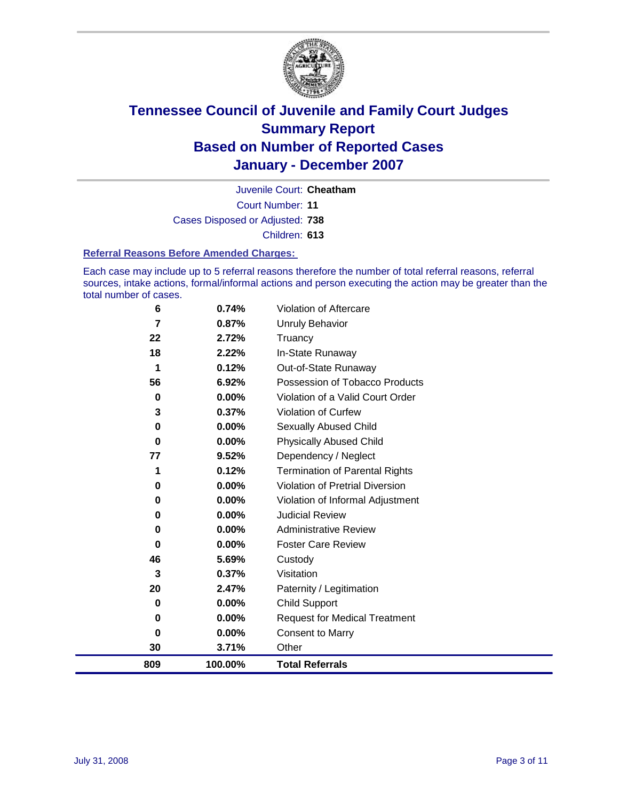

Court Number: **11** Juvenile Court: **Cheatham** Cases Disposed or Adjusted: **738** Children: **613**

### **Referral Reasons Before Amended Charges:**

Each case may include up to 5 referral reasons therefore the number of total referral reasons, referral sources, intake actions, formal/informal actions and person executing the action may be greater than the total number of cases.

| 809      | 100.00%  | <b>Total Referrals</b>                 |
|----------|----------|----------------------------------------|
| 30       | 3.71%    | Other                                  |
| 0        | 0.00%    | <b>Consent to Marry</b>                |
| 0        | $0.00\%$ | <b>Request for Medical Treatment</b>   |
| 0        | $0.00\%$ | <b>Child Support</b>                   |
| 20       | 2.47%    | Paternity / Legitimation               |
| 3        | 0.37%    | Visitation                             |
| 46       | 5.69%    | Custody                                |
| 0        | $0.00\%$ | <b>Foster Care Review</b>              |
| 0        | $0.00\%$ | <b>Administrative Review</b>           |
| 0        | 0.00%    | <b>Judicial Review</b>                 |
| 0        | $0.00\%$ | Violation of Informal Adjustment       |
| 0        | $0.00\%$ | <b>Violation of Pretrial Diversion</b> |
| 1        | 0.12%    | <b>Termination of Parental Rights</b>  |
| 77       | 9.52%    | Dependency / Neglect                   |
| $\bf{0}$ | 0.00%    | <b>Physically Abused Child</b>         |
| 0        | $0.00\%$ | <b>Sexually Abused Child</b>           |
| 3        | 0.37%    | <b>Violation of Curfew</b>             |
| 0        | 0.00%    | Violation of a Valid Court Order       |
| 56       | 6.92%    | Possession of Tobacco Products         |
| 1        | 0.12%    | Out-of-State Runaway                   |
| 18       | 2.22%    | In-State Runaway                       |
| 22       | 2.72%    | Truancy                                |
| 7        | 0.87%    | <b>Unruly Behavior</b>                 |
| 6        | 0.74%    | Violation of Aftercare                 |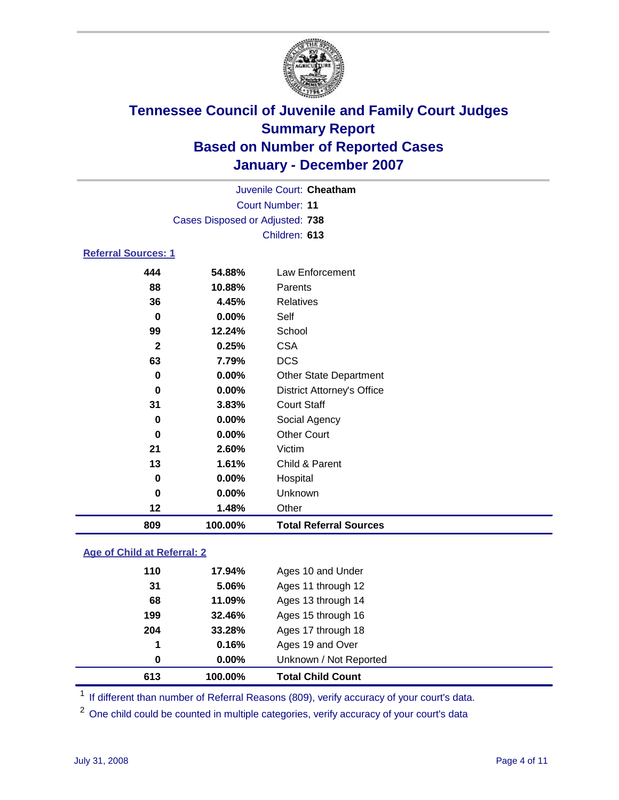

Court Number: **11** Juvenile Court: **Cheatham** Cases Disposed or Adjusted: **738** Children: **613**

### **Referral Sources: 1**

| 809          | 100.00% | <b>Total Referral Sources</b>     |
|--------------|---------|-----------------------------------|
| 12           | 1.48%   | Other                             |
| 0            | 0.00%   | Unknown                           |
| 0            | 0.00%   | Hospital                          |
| 13           | 1.61%   | Child & Parent                    |
| 21           | 2.60%   | Victim                            |
| 0            | 0.00%   | <b>Other Court</b>                |
| $\bf{0}$     | 0.00%   | Social Agency                     |
| 31           | 3.83%   | <b>Court Staff</b>                |
| 0            | 0.00%   | <b>District Attorney's Office</b> |
| 0            | 0.00%   | <b>Other State Department</b>     |
| 63           | 7.79%   | <b>DCS</b>                        |
| $\mathbf{2}$ | 0.25%   | <b>CSA</b>                        |
| 99           | 12.24%  | School                            |
| 0            | 0.00%   | Self                              |
| 36           | 4.45%   | Relatives                         |
| 88           | 10.88%  | Parents                           |
| 444          | 54.88%  | Law Enforcement                   |

### **Age of Child at Referral: 2**

| 613 | 100.00% | <b>Total Child Count</b> |
|-----|---------|--------------------------|
| 0   | 0.00%   | Unknown / Not Reported   |
| 1   | 0.16%   | Ages 19 and Over         |
| 204 | 33.28%  | Ages 17 through 18       |
| 199 | 32.46%  | Ages 15 through 16       |
| 68  | 11.09%  | Ages 13 through 14       |
| 31  | 5.06%   | Ages 11 through 12       |
| 110 | 17.94%  | Ages 10 and Under        |
|     |         |                          |

<sup>1</sup> If different than number of Referral Reasons (809), verify accuracy of your court's data.

One child could be counted in multiple categories, verify accuracy of your court's data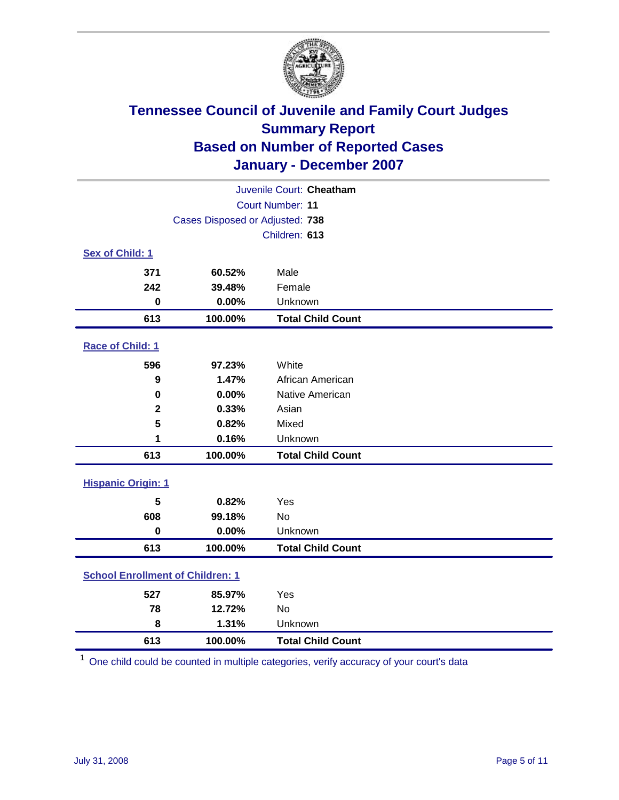

| Juvenile Court: Cheatham                |                                 |                          |  |  |
|-----------------------------------------|---------------------------------|--------------------------|--|--|
|                                         | Court Number: 11                |                          |  |  |
|                                         | Cases Disposed or Adjusted: 738 |                          |  |  |
|                                         |                                 | Children: 613            |  |  |
| Sex of Child: 1                         |                                 |                          |  |  |
| 371                                     | 60.52%                          | Male                     |  |  |
| 242                                     | 39.48%                          | Female                   |  |  |
| $\bf{0}$                                | 0.00%                           | Unknown                  |  |  |
| 613                                     | 100.00%                         | <b>Total Child Count</b> |  |  |
| Race of Child: 1                        |                                 |                          |  |  |
| 596                                     | 97.23%                          | White                    |  |  |
| 9                                       | 1.47%                           | African American         |  |  |
| 0                                       | 0.00%                           | Native American          |  |  |
| $\mathbf 2$                             | 0.33%                           | Asian                    |  |  |
| 5                                       | 0.82%                           | Mixed                    |  |  |
| 1                                       | 0.16%                           | Unknown                  |  |  |
| 613                                     | 100.00%                         | <b>Total Child Count</b> |  |  |
| <b>Hispanic Origin: 1</b>               |                                 |                          |  |  |
| 5                                       | 0.82%                           | Yes                      |  |  |
| 608                                     | 99.18%                          | <b>No</b>                |  |  |
| $\mathbf 0$                             | 0.00%                           | Unknown                  |  |  |
| 613                                     | 100.00%                         | <b>Total Child Count</b> |  |  |
| <b>School Enrollment of Children: 1</b> |                                 |                          |  |  |
| 527                                     | 85.97%                          | Yes                      |  |  |
| 78                                      | 12.72%                          | <b>No</b>                |  |  |
| 8                                       | 1.31%                           | Unknown                  |  |  |
| 613                                     | 100.00%                         | <b>Total Child Count</b> |  |  |

One child could be counted in multiple categories, verify accuracy of your court's data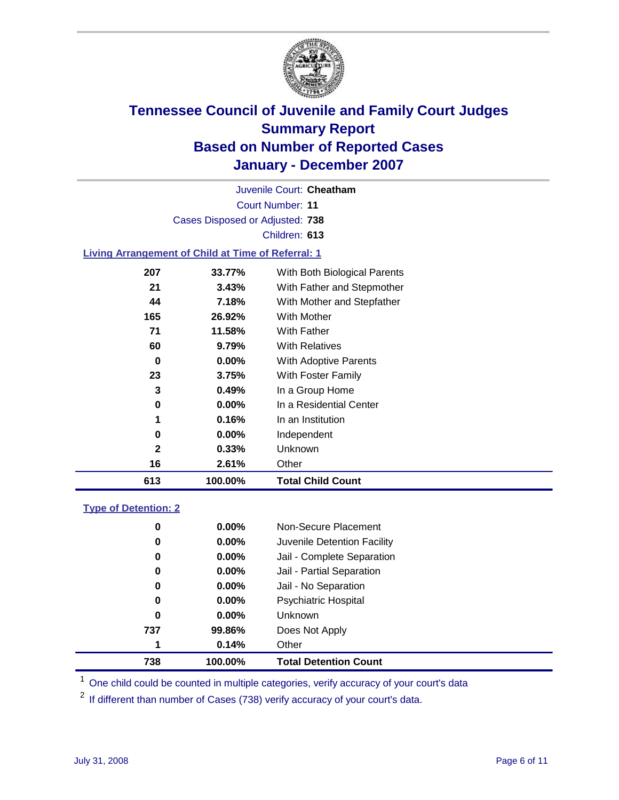

Court Number: **11** Juvenile Court: **Cheatham** Cases Disposed or Adjusted: **738** Children: **613**

### **Living Arrangement of Child at Time of Referral: 1**

| 613          | 100.00%  | <b>Total Child Count</b>     |
|--------------|----------|------------------------------|
| 16           | 2.61%    | Other                        |
| $\mathbf{2}$ | 0.33%    | Unknown                      |
| 0            | $0.00\%$ | Independent                  |
| 1            | 0.16%    | In an Institution            |
| 0            | $0.00\%$ | In a Residential Center      |
| 3            | 0.49%    | In a Group Home              |
| 23           | 3.75%    | With Foster Family           |
| 0            | $0.00\%$ | With Adoptive Parents        |
| 60           | 9.79%    | <b>With Relatives</b>        |
| 71           | 11.58%   | <b>With Father</b>           |
| 165          | 26.92%   | With Mother                  |
| 44           | 7.18%    | With Mother and Stepfather   |
| 21           | 3.43%    | With Father and Stepmother   |
| 207          | 33.77%   | With Both Biological Parents |
|              |          |                              |

### **Type of Detention: 2**

| 738 | 100.00%  | <b>Total Detention Count</b> |
|-----|----------|------------------------------|
| 1   | 0.14%    | Other                        |
| 737 | 99.86%   | Does Not Apply               |
| 0   | $0.00\%$ | <b>Unknown</b>               |
| 0   | 0.00%    | <b>Psychiatric Hospital</b>  |
| 0   | $0.00\%$ | Jail - No Separation         |
| 0   | $0.00\%$ | Jail - Partial Separation    |
| 0   | $0.00\%$ | Jail - Complete Separation   |
| 0   | $0.00\%$ | Juvenile Detention Facility  |
| 0   | $0.00\%$ | Non-Secure Placement         |
|     |          |                              |

<sup>1</sup> One child could be counted in multiple categories, verify accuracy of your court's data

<sup>2</sup> If different than number of Cases (738) verify accuracy of your court's data.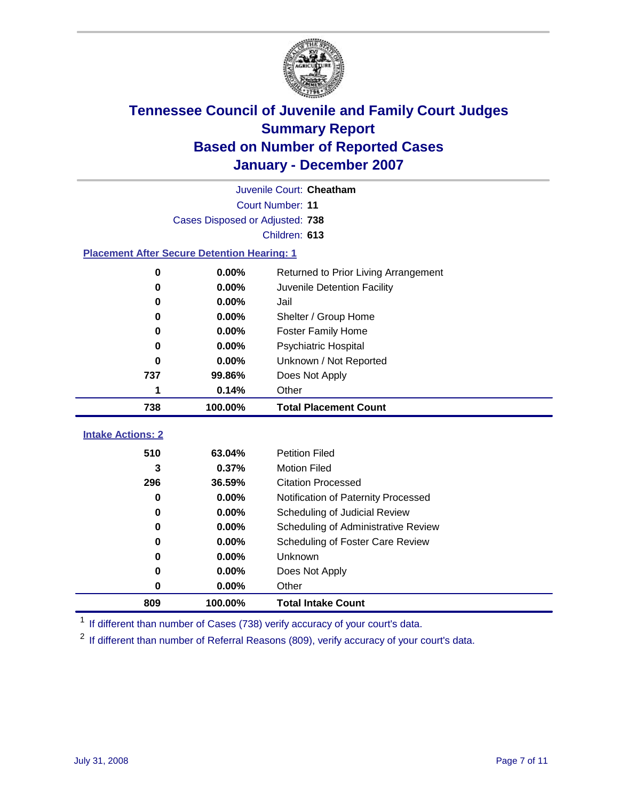

|                                                    | Juvenile Court: Cheatham        |                                      |  |  |  |
|----------------------------------------------------|---------------------------------|--------------------------------------|--|--|--|
|                                                    | Court Number: 11                |                                      |  |  |  |
|                                                    | Cases Disposed or Adjusted: 738 |                                      |  |  |  |
|                                                    |                                 | Children: 613                        |  |  |  |
| <b>Placement After Secure Detention Hearing: 1</b> |                                 |                                      |  |  |  |
| 0                                                  | 0.00%                           | Returned to Prior Living Arrangement |  |  |  |
| 0                                                  | 0.00%                           | Juvenile Detention Facility          |  |  |  |
| 0                                                  | 0.00%                           | Jail                                 |  |  |  |
| 0                                                  | 0.00%                           | Shelter / Group Home                 |  |  |  |
| 0                                                  | 0.00%                           | <b>Foster Family Home</b>            |  |  |  |
| 0                                                  | 0.00%                           | Psychiatric Hospital                 |  |  |  |
| 0                                                  | 0.00%                           | Unknown / Not Reported               |  |  |  |
| 737                                                | 99.86%                          | Does Not Apply                       |  |  |  |
| 1                                                  | 0.14%                           | Other                                |  |  |  |
| 738                                                | 100.00%                         | <b>Total Placement Count</b>         |  |  |  |
| <b>Intake Actions: 2</b>                           |                                 |                                      |  |  |  |
|                                                    |                                 |                                      |  |  |  |
| 510                                                | 63.04%                          | <b>Petition Filed</b>                |  |  |  |
| 3                                                  | 0.37%                           | <b>Motion Filed</b>                  |  |  |  |
| 296                                                | 36.59%                          | <b>Citation Processed</b>            |  |  |  |
| 0                                                  | 0.00%                           | Notification of Paternity Processed  |  |  |  |
| 0                                                  | 0.00%                           | Scheduling of Judicial Review        |  |  |  |
| 0                                                  | 0.00%                           | Scheduling of Administrative Review  |  |  |  |
| 0                                                  | 0.00%                           | Scheduling of Foster Care Review     |  |  |  |
| 0                                                  | 0.00%                           | Unknown                              |  |  |  |
| 0                                                  | 0.00%                           | Does Not Apply                       |  |  |  |
| 0                                                  | 0.00%                           | Other                                |  |  |  |
| 809                                                | 100.00%                         | <b>Total Intake Count</b>            |  |  |  |

<sup>1</sup> If different than number of Cases (738) verify accuracy of your court's data.

<sup>2</sup> If different than number of Referral Reasons (809), verify accuracy of your court's data.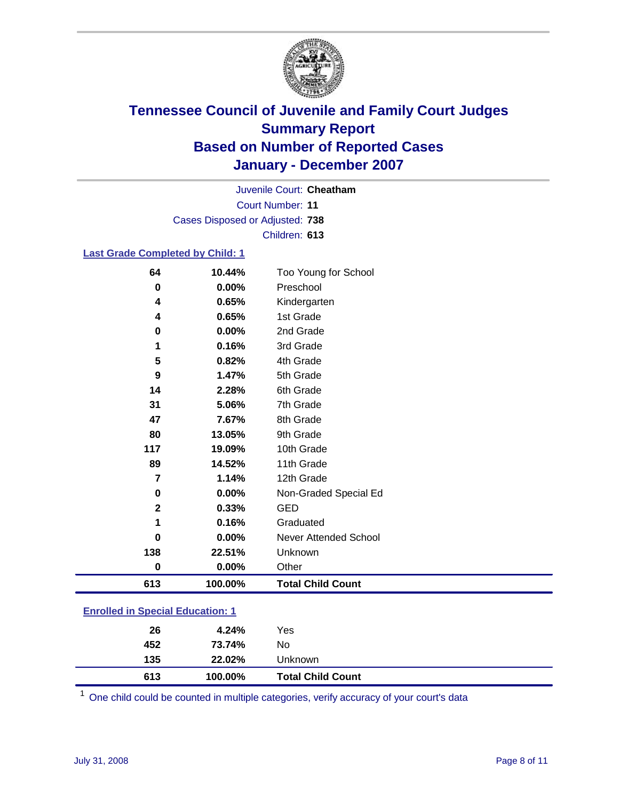

Court Number: **11** Juvenile Court: **Cheatham** Cases Disposed or Adjusted: **738** Children: **613**

### **Last Grade Completed by Child: 1**

| 4           | 0.65%   | Kindergarten             |
|-------------|---------|--------------------------|
| 4           | 0.65%   | 1st Grade                |
| 0           | 0.00%   | 2nd Grade                |
| 1           | 0.16%   | 3rd Grade                |
| 5           | 0.82%   | 4th Grade                |
| 9           | 1.47%   | 5th Grade                |
| 14          | 2.28%   | 6th Grade                |
| 31          | 5.06%   | 7th Grade                |
| 47          | 7.67%   | 8th Grade                |
| 80          | 13.05%  | 9th Grade                |
| 117         | 19.09%  | 10th Grade               |
| 89          | 14.52%  | 11th Grade               |
| 7           | 1.14%   | 12th Grade               |
| 0           | 0.00%   | Non-Graded Special Ed    |
| $\mathbf 2$ | 0.33%   | <b>GED</b>               |
|             | 0.16%   | Graduated                |
| 0           | 0.00%   | Never Attended School    |
| 138         | 22.51%  | Unknown                  |
| 0           | 0.00%   | Other                    |
| 613         | 100.00% | <b>Total Child Count</b> |

### **Enrolled in Special Education: 1**

| 613 | 100.00% | <b>Total Child Count</b> |  |
|-----|---------|--------------------------|--|
| 135 | 22.02%  | Unknown                  |  |
| 452 | 73.74%  | No                       |  |
| 26  | 4.24%   | Yes                      |  |
|     |         |                          |  |

<sup>1</sup> One child could be counted in multiple categories, verify accuracy of your court's data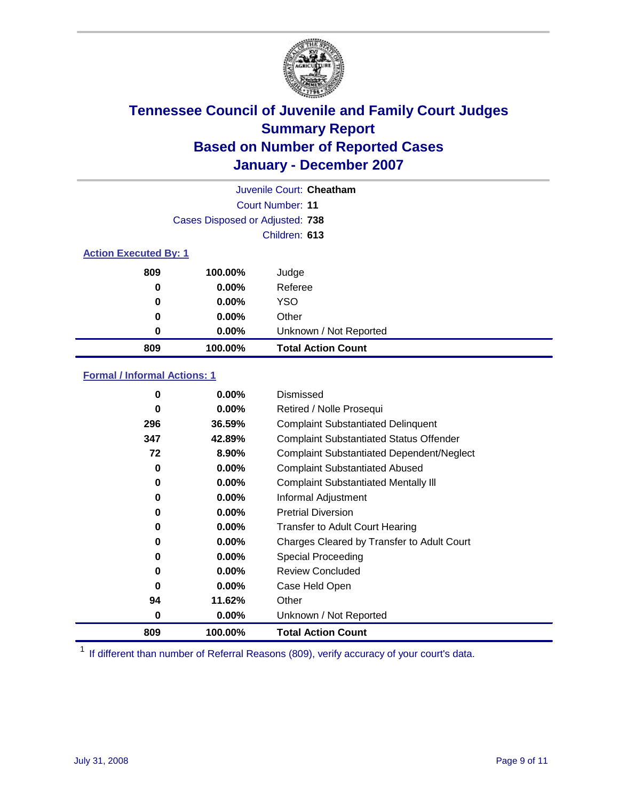

|                              | Juvenile Court: Cheatham        |                           |  |  |
|------------------------------|---------------------------------|---------------------------|--|--|
|                              |                                 | Court Number: 11          |  |  |
|                              | Cases Disposed or Adjusted: 738 |                           |  |  |
|                              |                                 | Children: 613             |  |  |
| <b>Action Executed By: 1</b> |                                 |                           |  |  |
| 809                          | 100.00%                         | Judge                     |  |  |
| 0                            | $0.00\%$                        | Referee                   |  |  |
| 0                            | $0.00\%$                        | <b>YSO</b>                |  |  |
| 0                            | 0.00%                           | Other                     |  |  |
| 0                            | 0.00%                           | Unknown / Not Reported    |  |  |
| 809                          | 100.00%                         | <b>Total Action Count</b> |  |  |

### **Formal / Informal Actions: 1**

| 0   | $0.00\%$ | Dismissed                                        |
|-----|----------|--------------------------------------------------|
| 0   | $0.00\%$ | Retired / Nolle Prosequi                         |
| 296 | 36.59%   | <b>Complaint Substantiated Delinquent</b>        |
| 347 | 42.89%   | <b>Complaint Substantiated Status Offender</b>   |
| 72  | 8.90%    | <b>Complaint Substantiated Dependent/Neglect</b> |
| 0   | 0.00%    | <b>Complaint Substantiated Abused</b>            |
| 0   | $0.00\%$ | <b>Complaint Substantiated Mentally III</b>      |
| 0   | $0.00\%$ | Informal Adjustment                              |
| 0   | $0.00\%$ | <b>Pretrial Diversion</b>                        |
| 0   | $0.00\%$ | <b>Transfer to Adult Court Hearing</b>           |
| 0   | 0.00%    | Charges Cleared by Transfer to Adult Court       |
| 0   | $0.00\%$ | Special Proceeding                               |
| 0   | $0.00\%$ | <b>Review Concluded</b>                          |
| 0   | $0.00\%$ | Case Held Open                                   |
| 94  | 11.62%   | Other                                            |
| 0   | $0.00\%$ | Unknown / Not Reported                           |
| 809 | 100.00%  | <b>Total Action Count</b>                        |

<sup>1</sup> If different than number of Referral Reasons (809), verify accuracy of your court's data.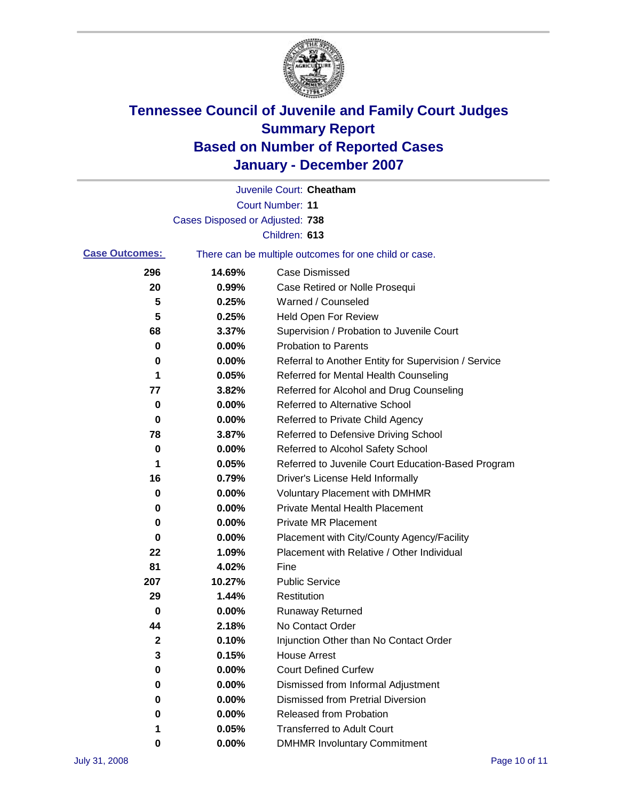

|                       |                                 | Juvenile Court: Cheatham                              |
|-----------------------|---------------------------------|-------------------------------------------------------|
|                       |                                 | Court Number: 11                                      |
|                       | Cases Disposed or Adjusted: 738 |                                                       |
|                       |                                 | Children: 613                                         |
| <b>Case Outcomes:</b> |                                 | There can be multiple outcomes for one child or case. |
| 296                   | 14.69%                          | <b>Case Dismissed</b>                                 |
| 20                    | 0.99%                           | Case Retired or Nolle Prosequi                        |
| 5                     | 0.25%                           | Warned / Counseled                                    |
| 5                     | 0.25%                           | <b>Held Open For Review</b>                           |
| 68                    | 3.37%                           | Supervision / Probation to Juvenile Court             |
| 0                     | 0.00%                           | <b>Probation to Parents</b>                           |
| 0                     | 0.00%                           | Referral to Another Entity for Supervision / Service  |
| 1                     | 0.05%                           | Referred for Mental Health Counseling                 |
| 77                    | 3.82%                           | Referred for Alcohol and Drug Counseling              |
| 0                     | 0.00%                           | <b>Referred to Alternative School</b>                 |
| 0                     | 0.00%                           | Referred to Private Child Agency                      |
| 78                    | 3.87%                           | Referred to Defensive Driving School                  |
| 0                     | 0.00%                           | Referred to Alcohol Safety School                     |
| 1                     | 0.05%                           | Referred to Juvenile Court Education-Based Program    |
| 16                    | 0.79%                           | Driver's License Held Informally                      |
| 0                     | 0.00%                           | <b>Voluntary Placement with DMHMR</b>                 |
| 0                     | 0.00%                           | <b>Private Mental Health Placement</b>                |
| 0                     | 0.00%                           | Private MR Placement                                  |
| 0                     | 0.00%                           | Placement with City/County Agency/Facility            |
| 22                    | 1.09%                           | Placement with Relative / Other Individual            |
| 81                    | 4.02%                           | Fine                                                  |
| 207                   | 10.27%                          | <b>Public Service</b>                                 |
| 29                    | 1.44%                           | Restitution                                           |
| 0                     | 0.00%                           | <b>Runaway Returned</b>                               |
| 44                    | 2.18%                           | No Contact Order                                      |
| 2                     | 0.10%                           | Injunction Other than No Contact Order                |
| 3                     | 0.15%                           | <b>House Arrest</b>                                   |
| 0                     | 0.00%                           | <b>Court Defined Curfew</b>                           |
| 0                     | 0.00%                           | Dismissed from Informal Adjustment                    |
| 0                     | 0.00%                           | <b>Dismissed from Pretrial Diversion</b>              |
| 0                     | 0.00%                           | Released from Probation                               |
| 1                     | 0.05%                           | <b>Transferred to Adult Court</b>                     |
| 0                     | 0.00%                           | <b>DMHMR Involuntary Commitment</b>                   |